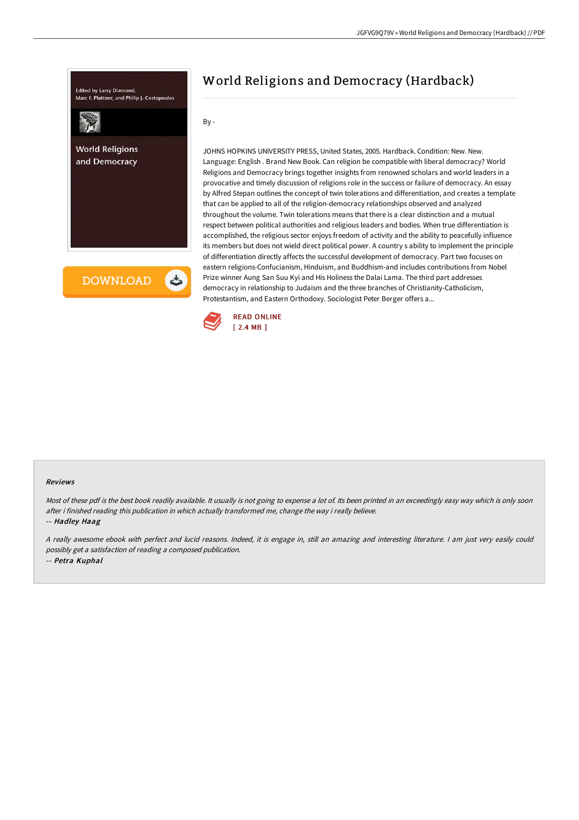

# World Religions and Democracy (Hardback)

By -

JOHNS HOPKINS UNIVERSITY PRESS, United States, 2005. Hardback. Condition: New. New. Language: English . Brand New Book. Can religion be compatible with liberal democracy? World Religions and Democracy brings together insights from renowned scholars and world leaders in a provocative and timely discussion of religions role in the success or failure of democracy. An essay by Alfred Stepan outlines the concept of twin tolerations and differentiation, and creates a template that can be applied to all of the religion-democracy relationships observed and analyzed throughout the volume. Twin tolerations means that there is a clear distinction and a mutual respect between political authorities and religious leaders and bodies. When true differentiation is accomplished, the religious sector enjoys freedom of activity and the ability to peacefully influence its members but does not wield direct political power. A country s ability to implement the principle of differentiation directly affects the successful development of democracy. Part two focuses on eastern religions-Confucianism, Hinduism, and Buddhism-and includes contributions from Nobel Prize winner Aung San Suu Kyi and His Holiness the Dalai Lama. The third part addresses democracy in relationship to Judaism and the three branches of Christianity-Catholicism, Protestantism, and Eastern Orthodoxy. Sociologist Peter Berger offers a...



#### Reviews

Most of these pdf is the best book readily available. It usually is not going to expense <sup>a</sup> lot of. Its been printed in an exceedingly easy way which is only soon after i finished reading this publication in which actually transformed me, change the way i really believe.

-- Hadley Haag

<sup>A</sup> really awesome ebook with perfect and lucid reasons. Indeed, it is engage in, still an amazing and interesting literature. <sup>I</sup> am just very easily could possibly get <sup>a</sup> satisfaction of reading <sup>a</sup> composed publication. -- Petra Kuphal